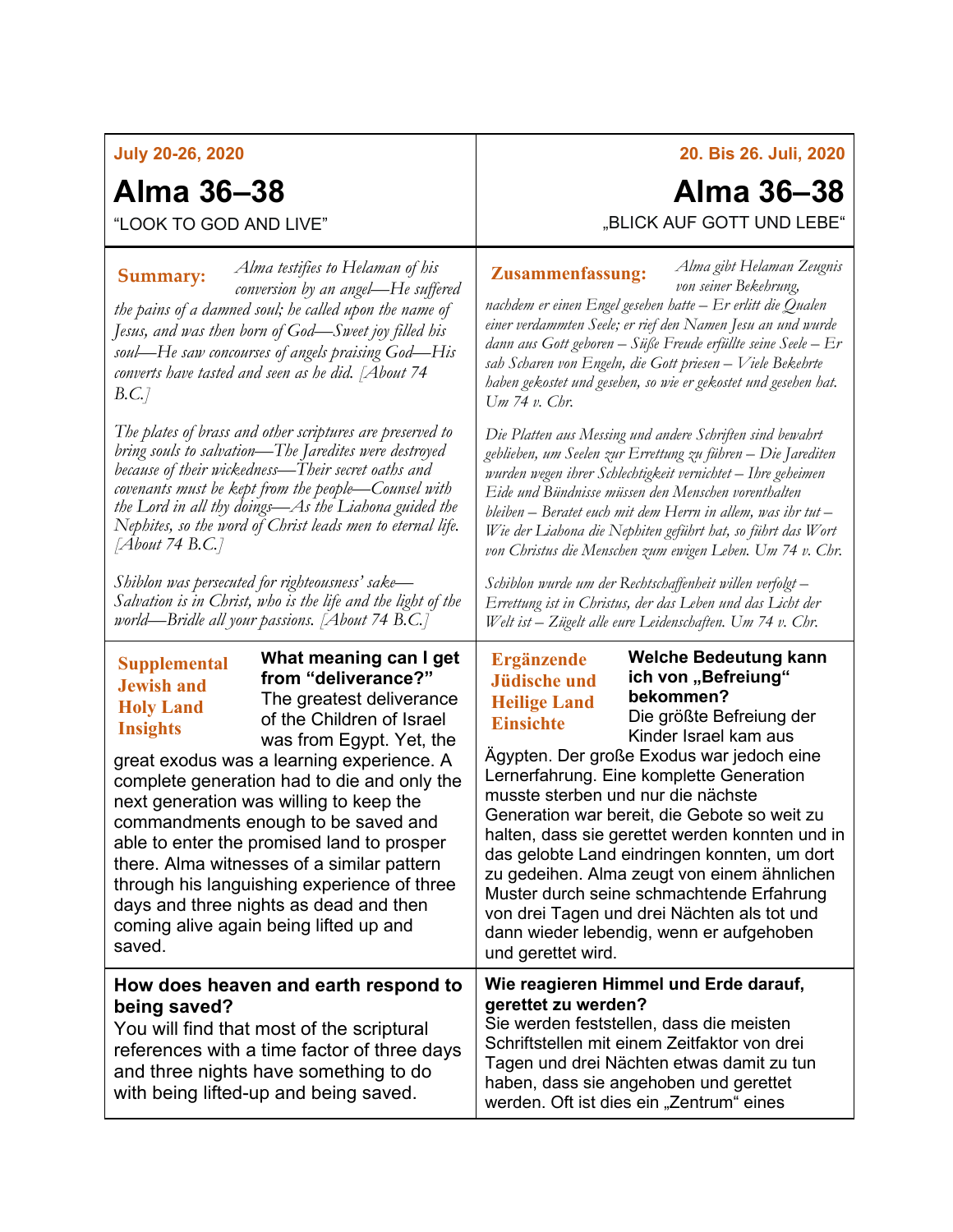## **July 20-26, 2020**

# **Alma 36–38**

# **Alma 36–38**

**20. Bis 26. Juli, 2020**

*Alma gibt Helaman Zeugnis* 

"LOOK TO GOD AND LIVE"

*Alma testifies to Helaman of his conversion by an angel—He suffered the pains of a damned soul; he called upon the name of Jesus, and was then born of God—Sweet joy filled his soul—He saw concourses of angels praising God—His converts have tasted and seen as he did. [About 74 B.C.]* **Summary:** *Alma testifies to Helaman of his* **Zusammenfassung:** 

*The plates of brass and other scriptures are preserved to bring souls to salvation—The Jaredites were destroyed because of their wickedness—Their secret oaths and covenants must be kept from the people—Counsel with the Lord in all thy doings—As the Liahona guided the Nephites, so the word of Christ leads men to eternal life. [About 74 B.C.]*

*Shiblon was persecuted for righteousness' sake— Salvation is in Christ, who is the life and the light of the world—Bridle all your passions. [About 74 B.C.]*

# **Supplemental Jewish and Holy Land Insights**

**What meaning can I get from "deliverance?"** The greatest deliverance of the Children of Israel was from Egypt. Yet, the

great exodus was a learning experience. A complete generation had to die and only the next generation was willing to keep the commandments enough to be saved and able to enter the promised land to prosper there. Alma witnesses of a similar pattern through his languishing experience of three days and three nights as dead and then coming alive again being lifted up and saved.

### **How does heaven and earth respond to being saved?**

You will find that most of the scriptural references with a time factor of three days and three nights have something to do with being lifted-up and being saved.

"BLICK AUF GOTT UND LEBE"

*von seiner Bekehrung, nachdem er einen Engel gesehen hatte – Er erlitt die Qualen einer verdammten Seele; er rief den Namen Jesu an und wurde dann aus Gott geboren – Süße Freude erfüllte seine Seele – Er sah Scharen von Engeln, die Gott priesen – Viele Bekehrte haben gekostet und gesehen, so wie er gekostet und gesehen hat. Um 74 v. Chr.*

*Die Platten aus Messing und andere Schriften sind bewahrt geblieben, um Seelen zur Errettung zu führen – Die Jarediten wurden wegen ihrer Schlechtigkeit vernichtet – Ihre geheimen Eide und Bündnisse müssen den Menschen vorenthalten bleiben – Beratet euch mit dem Herrn in allem, was ihr tut – Wie der Liahona die Nephiten geführt hat, so führt das Wort von Christus die Menschen zum ewigen Leben. Um 74 v. Chr.*

*Schiblon wurde um der Rechtschaffenheit willen verfolgt – Errettung ist in Christus, der das Leben und das Licht der Welt ist – Zügelt alle eure Leidenschaften. Um 74 v. Chr.*

## **Ergänzende Jüdische und Heilige Land Einsichte**

**Welche Bedeutung kann ich von "Befreiung" bekommen?** Die größte Befreiung der Kinder Israel kam aus

Ägypten. Der große Exodus war jedoch eine Lernerfahrung. Eine komplette Generation musste sterben und nur die nächste Generation war bereit, die Gebote so weit zu halten, dass sie gerettet werden konnten und in das gelobte Land eindringen konnten, um dort zu gedeihen. Alma zeugt von einem ähnlichen Muster durch seine schmachtende Erfahrung von drei Tagen und drei Nächten als tot und dann wieder lebendig, wenn er aufgehoben und gerettet wird.

#### **Wie reagieren Himmel und Erde darauf, gerettet zu werden?**

Sie werden feststellen, dass die meisten Schriftstellen mit einem Zeitfaktor von drei Tagen und drei Nächten etwas damit zu tun haben, dass sie angehoben und gerettet werden. Oft ist dies ein "Zentrum" eines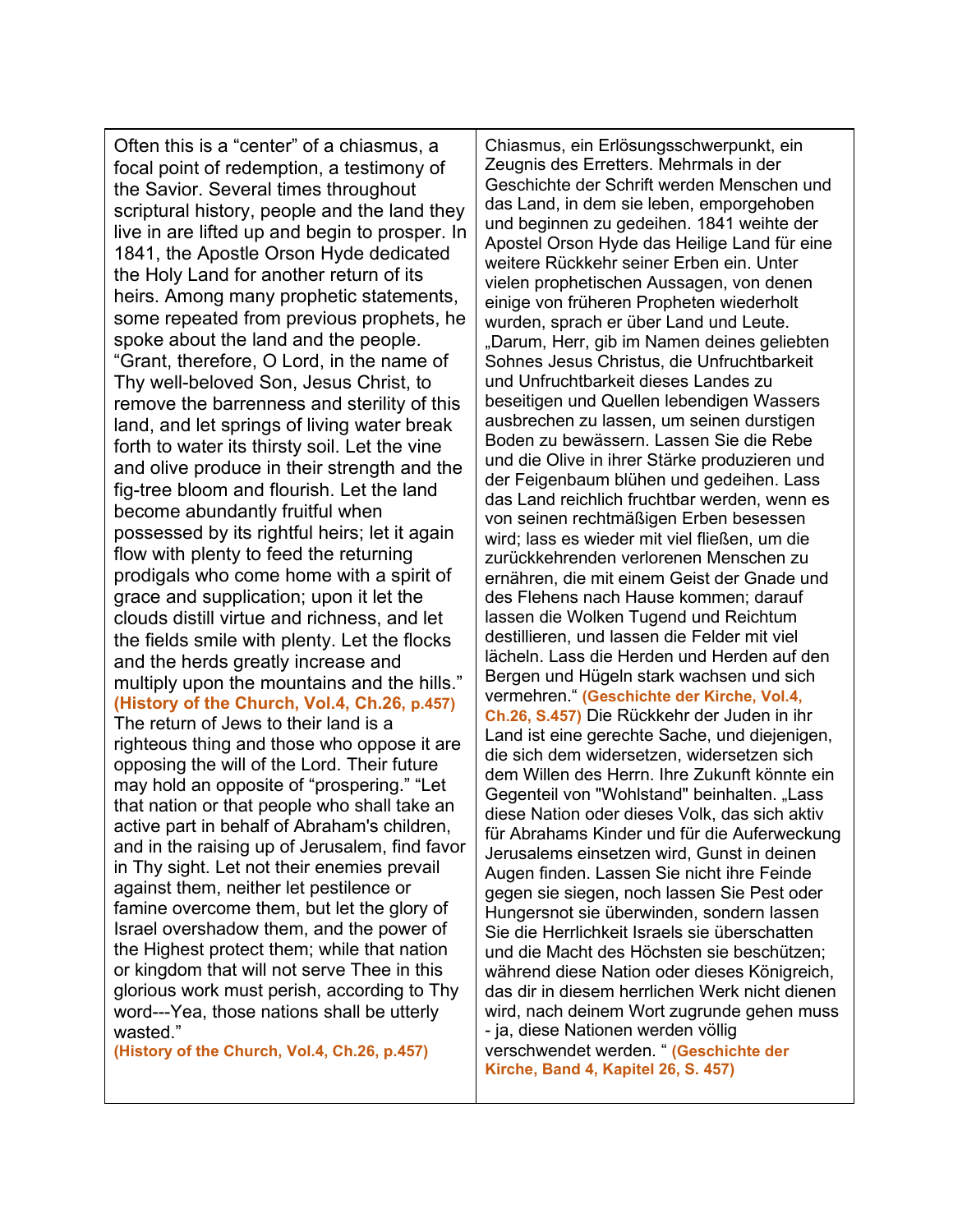Often this is a "center" of a chiasmus, a focal point of redemption, a testimony of the Savior. Several times throughout scriptural history, people and the land they live in are lifted up and begin to prosper. In 1841, the Apostle Orson Hyde dedicated the Holy Land for another return of its heirs. Among many prophetic statements, some repeated from previous prophets, he spoke about the land and the people. "Grant, therefore, O Lord, in the name of Thy well-beloved Son, Jesus Christ, to remove the barrenness and sterility of this land, and let springs of living water break forth to water its thirsty soil. Let the vine and olive produce in their strength and the fig-tree bloom and flourish. Let the land become abundantly fruitful when possessed by its rightful heirs; let it again flow with plenty to feed the returning prodigals who come home with a spirit of grace and supplication; upon it let the clouds distill virtue and richness, and let the fields smile with plenty. Let the flocks and the herds greatly increase and multiply upon the mountains and the hills." **(History of the Church, Vol.4, Ch.26, p.457)** The return of Jews to their land is a

righteous thing and those who oppose it are opposing the will of the Lord. Their future may hold an opposite of "prospering." "Let that nation or that people who shall take an active part in behalf of Abraham's children, and in the raising up of Jerusalem, find favor in Thy sight. Let not their enemies prevail against them, neither let pestilence or famine overcome them, but let the glory of Israel overshadow them, and the power of the Highest protect them; while that nation or kingdom that will not serve Thee in this glorious work must perish, according to Thy word---Yea, those nations shall be utterly wasted."

**(History of the Church, Vol.4, Ch.26, p.457)**

Chiasmus, ein Erlösungsschwerpunkt, ein Zeugnis des Erretters. Mehrmals in der Geschichte der Schrift werden Menschen und das Land, in dem sie leben, emporgehoben und beginnen zu gedeihen. 1841 weihte der Apostel Orson Hyde das Heilige Land für eine weitere Rückkehr seiner Erben ein. Unter vielen prophetischen Aussagen, von denen einige von früheren Propheten wiederholt wurden, sprach er über Land und Leute. "Darum, Herr, gib im Namen deines geliebten Sohnes Jesus Christus, die Unfruchtbarkeit und Unfruchtbarkeit dieses Landes zu beseitigen und Quellen lebendigen Wassers ausbrechen zu lassen, um seinen durstigen Boden zu bewässern. Lassen Sie die Rebe und die Olive in ihrer Stärke produzieren und der Feigenbaum blühen und gedeihen. Lass das Land reichlich fruchtbar werden, wenn es von seinen rechtmäßigen Erben besessen wird; lass es wieder mit viel fließen, um die zurückkehrenden verlorenen Menschen zu ernähren, die mit einem Geist der Gnade und des Flehens nach Hause kommen; darauf lassen die Wolken Tugend und Reichtum destillieren, und lassen die Felder mit viel lächeln. Lass die Herden und Herden auf den Bergen und Hügeln stark wachsen und sich vermehren." **(Geschichte der Kirche, Vol.4, Ch.26, S.457)** Die Rückkehr der Juden in ihr Land ist eine gerechte Sache, und diejenigen, die sich dem widersetzen, widersetzen sich dem Willen des Herrn. Ihre Zukunft könnte ein Gegenteil von "Wohlstand" beinhalten. "Lass diese Nation oder dieses Volk, das sich aktiv für Abrahams Kinder und für die Auferweckung Jerusalems einsetzen wird, Gunst in deinen Augen finden. Lassen Sie nicht ihre Feinde gegen sie siegen, noch lassen Sie Pest oder Hungersnot sie überwinden, sondern lassen Sie die Herrlichkeit Israels sie überschatten und die Macht des Höchsten sie beschützen; während diese Nation oder dieses Königreich, das dir in diesem herrlichen Werk nicht dienen wird, nach deinem Wort zugrunde gehen muss - ja, diese Nationen werden völlig verschwendet werden. " **(Geschichte der Kirche, Band 4, Kapitel 26, S. 457)**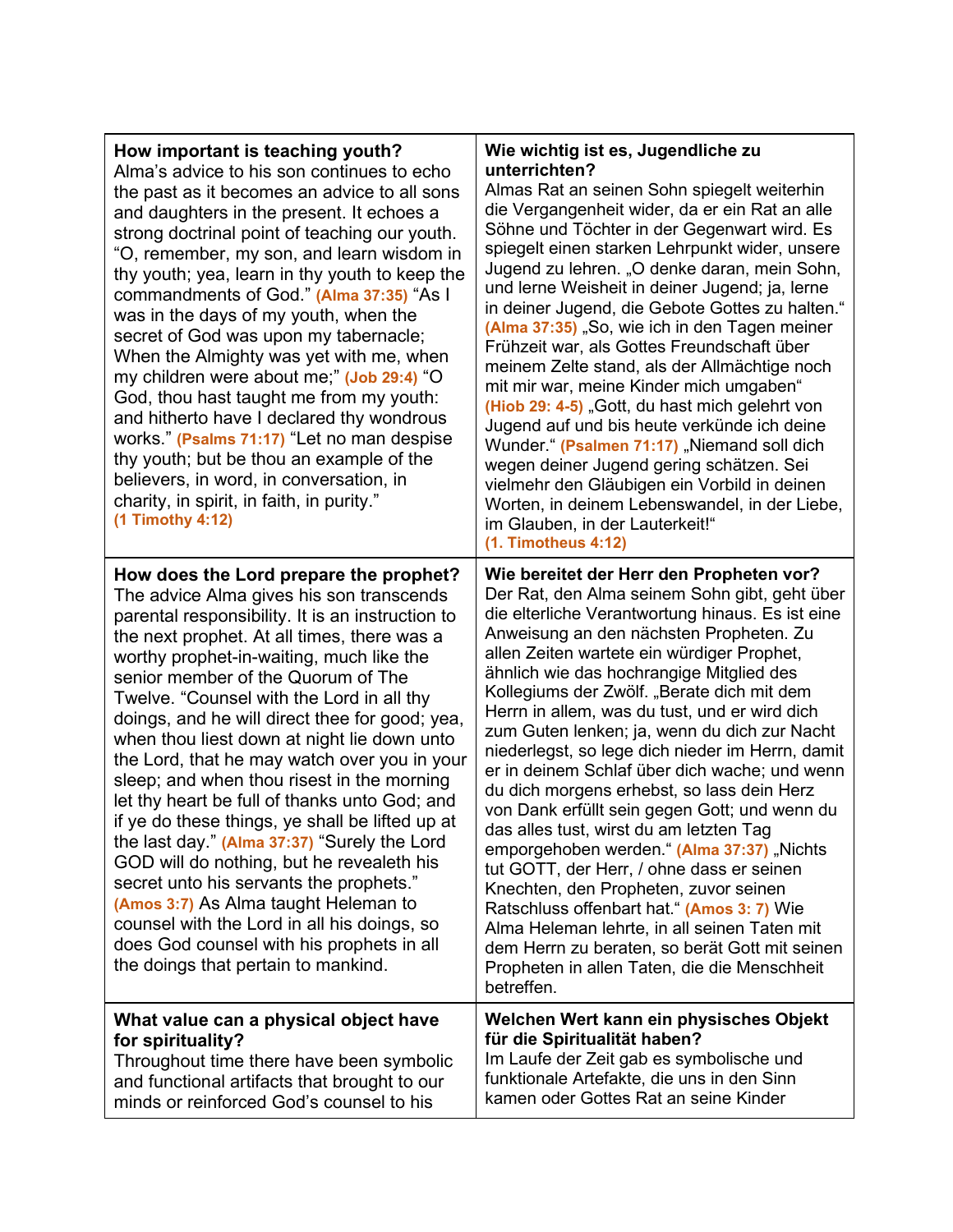| How important is teaching youth?<br>Alma's advice to his son continues to echo<br>the past as it becomes an advice to all sons<br>and daughters in the present. It echoes a<br>strong doctrinal point of teaching our youth.<br>"O, remember, my son, and learn wisdom in<br>thy youth; yea, learn in thy youth to keep the<br>commandments of God." (Alma 37:35) "As I<br>was in the days of my youth, when the<br>secret of God was upon my tabernacle;<br>When the Almighty was yet with me, when<br>my children were about me;" (Job 29:4) "O<br>God, thou hast taught me from my youth:<br>and hitherto have I declared thy wondrous<br>works." (Psalms 71:17) "Let no man despise<br>thy youth; but be thou an example of the<br>believers, in word, in conversation, in<br>charity, in spirit, in faith, in purity."<br>(1 Timothy 4:12)                                                                                            | Wie wichtig ist es, Jugendliche zu<br>unterrichten?<br>Almas Rat an seinen Sohn spiegelt weiterhin<br>die Vergangenheit wider, da er ein Rat an alle<br>Söhne und Töchter in der Gegenwart wird. Es<br>spiegelt einen starken Lehrpunkt wider, unsere<br>Jugend zu lehren. "O denke daran, mein Sohn,<br>und lerne Weisheit in deiner Jugend; ja, lerne<br>in deiner Jugend, die Gebote Gottes zu halten."<br>(Alma 37:35) "So, wie ich in den Tagen meiner<br>Frühzeit war, als Gottes Freundschaft über<br>meinem Zelte stand, als der Allmächtige noch<br>mit mir war, meine Kinder mich umgaben"<br>(Hiob 29: 4-5) "Gott, du hast mich gelehrt von<br>Jugend auf und bis heute verkünde ich deine<br>Wunder." (Psalmen 71:17) "Niemand soll dich<br>wegen deiner Jugend gering schätzen. Sei<br>vielmehr den Gläubigen ein Vorbild in deinen<br>Worten, in deinem Lebenswandel, in der Liebe,<br>im Glauben, in der Lauterkeit!"                                                                                                                          |
|--------------------------------------------------------------------------------------------------------------------------------------------------------------------------------------------------------------------------------------------------------------------------------------------------------------------------------------------------------------------------------------------------------------------------------------------------------------------------------------------------------------------------------------------------------------------------------------------------------------------------------------------------------------------------------------------------------------------------------------------------------------------------------------------------------------------------------------------------------------------------------------------------------------------------------------------|---------------------------------------------------------------------------------------------------------------------------------------------------------------------------------------------------------------------------------------------------------------------------------------------------------------------------------------------------------------------------------------------------------------------------------------------------------------------------------------------------------------------------------------------------------------------------------------------------------------------------------------------------------------------------------------------------------------------------------------------------------------------------------------------------------------------------------------------------------------------------------------------------------------------------------------------------------------------------------------------------------------------------------------------------------------|
| How does the Lord prepare the prophet?<br>The advice Alma gives his son transcends<br>parental responsibility. It is an instruction to<br>the next prophet. At all times, there was a<br>worthy prophet-in-waiting, much like the<br>senior member of the Quorum of The<br>Twelve. "Counsel with the Lord in all thy<br>doings, and he will direct thee for good; yea,<br>when thou liest down at night lie down unto<br>the Lord, that he may watch over you in your<br>sleep; and when thou risest in the morning<br>let thy heart be full of thanks unto God; and<br>if ye do these things, ye shall be lifted up at<br>the last day." (Alma 37:37) "Surely the Lord<br>GOD will do nothing, but he revealeth his<br>secret unto his servants the prophets."<br>(Amos 3:7) As Alma taught Heleman to<br>counsel with the Lord in all his doings, so<br>does God counsel with his prophets in all<br>the doings that pertain to mankind. | $(1.$ Timotheus $4:12)$<br>Wie bereitet der Herr den Propheten vor?<br>Der Rat, den Alma seinem Sohn gibt, geht über<br>die elterliche Verantwortung hinaus. Es ist eine<br>Anweisung an den nächsten Propheten. Zu<br>allen Zeiten wartete ein würdiger Prophet,<br>ähnlich wie das hochrangige Mitglied des<br>Kollegiums der Zwölf. "Berate dich mit dem<br>Herrn in allem, was du tust, und er wird dich<br>zum Guten lenken; ja, wenn du dich zur Nacht<br>niederlegst, so lege dich nieder im Herrn, damit<br>er in deinem Schlaf über dich wache; und wenn<br>du dich morgens erhebst, so lass dein Herz<br>von Dank erfüllt sein gegen Gott; und wenn du<br>das alles tust, wirst du am letzten Tag<br>emporgehoben werden." (Alma 37:37) "Nichts<br>tut GOTT, der Herr, / ohne dass er seinen<br>Knechten, den Propheten, zuvor seinen<br>Ratschluss offenbart hat." (Amos 3: 7) Wie<br>Alma Heleman lehrte, in all seinen Taten mit<br>dem Herrn zu beraten, so berät Gott mit seinen<br>Propheten in allen Taten, die die Menschheit<br>betreffen. |
| What value can a physical object have<br>for spirituality?<br>Throughout time there have been symbolic<br>and functional artifacts that brought to our<br>minds or reinforced God's counsel to his                                                                                                                                                                                                                                                                                                                                                                                                                                                                                                                                                                                                                                                                                                                                         | Welchen Wert kann ein physisches Objekt<br>für die Spiritualität haben?<br>Im Laufe der Zeit gab es symbolische und<br>funktionale Artefakte, die uns in den Sinn<br>kamen oder Gottes Rat an seine Kinder                                                                                                                                                                                                                                                                                                                                                                                                                                                                                                                                                                                                                                                                                                                                                                                                                                                    |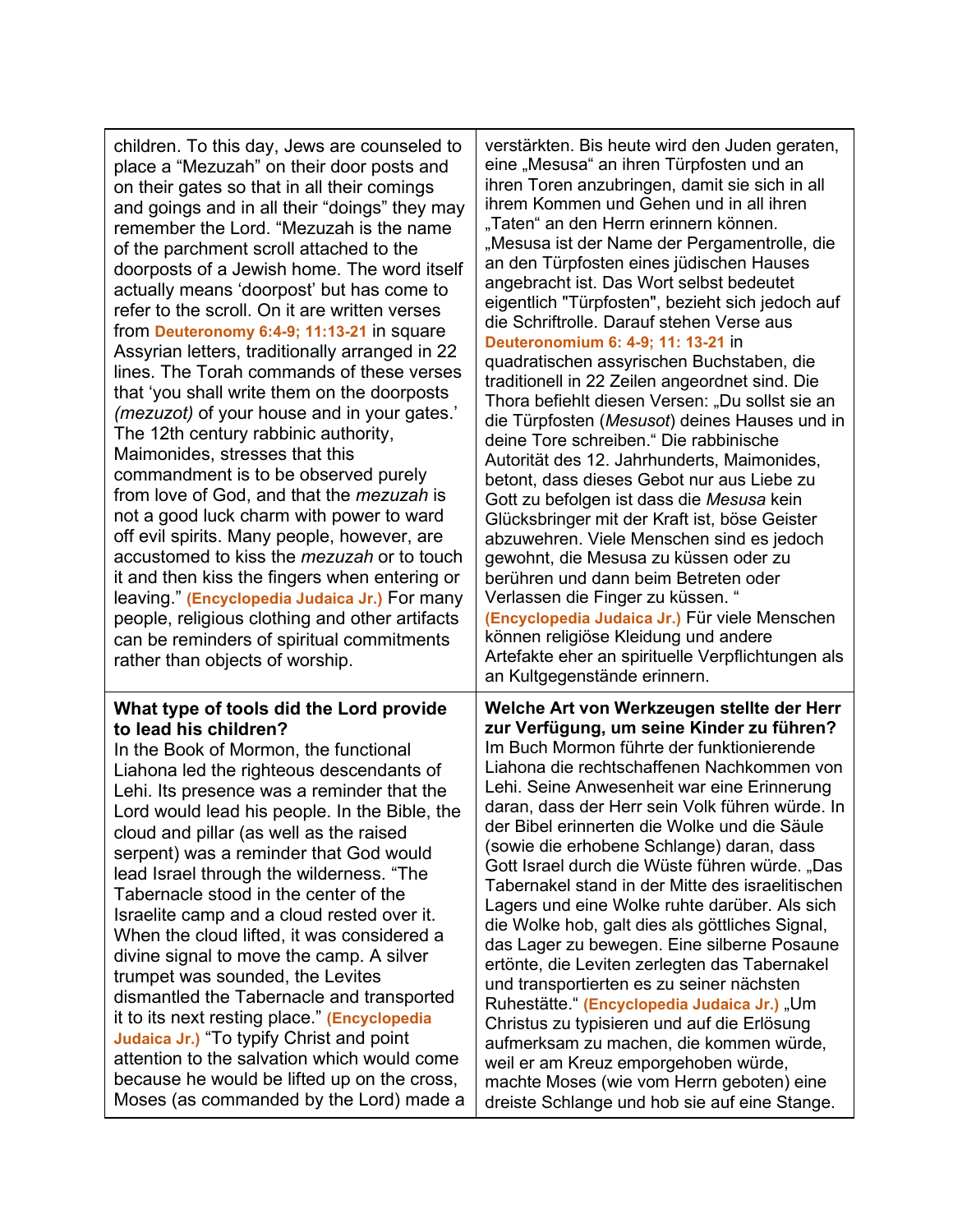| children. To this day, Jews are counseled to<br>place a "Mezuzah" on their door posts and<br>on their gates so that in all their comings<br>and goings and in all their "doings" they may<br>remember the Lord. "Mezuzah is the name<br>of the parchment scroll attached to the<br>doorposts of a Jewish home. The word itself<br>actually means 'doorpost' but has come to<br>refer to the scroll. On it are written verses<br>from Deuteronomy 6:4-9; 11:13-21 in square<br>Assyrian letters, traditionally arranged in 22<br>lines. The Torah commands of these verses<br>that 'you shall write them on the doorposts<br>(mezuzot) of your house and in your gates.'<br>The 12th century rabbinic authority,<br>Maimonides, stresses that this<br>commandment is to be observed purely<br>from love of God, and that the <i>mezuzah</i> is<br>not a good luck charm with power to ward<br>off evil spirits. Many people, however, are<br>accustomed to kiss the <i>mezuzah</i> or to touch<br>it and then kiss the fingers when entering or<br>leaving." (Encyclopedia Judaica Jr.) For many<br>people, religious clothing and other artifacts<br>can be reminders of spiritual commitments<br>rather than objects of worship. | verstärkten. Bis heute wird den Juden geraten,<br>eine "Mesusa" an ihren Türpfosten und an<br>ihren Toren anzubringen, damit sie sich in all<br>ihrem Kommen und Gehen und in all ihren<br>"Taten" an den Herrn erinnern können.<br>"Mesusa ist der Name der Pergamentrolle, die<br>an den Türpfosten eines jüdischen Hauses<br>angebracht ist. Das Wort selbst bedeutet<br>eigentlich "Türpfosten", bezieht sich jedoch auf<br>die Schriftrolle. Darauf stehen Verse aus<br>Deuteronomium 6: 4-9; 11: 13-21 in<br>quadratischen assyrischen Buchstaben, die<br>traditionell in 22 Zeilen angeordnet sind. Die<br>Thora befiehlt diesen Versen: "Du sollst sie an<br>die Türpfosten (Mesusot) deines Hauses und in<br>deine Tore schreiben." Die rabbinische<br>Autorität des 12. Jahrhunderts, Maimonides,<br>betont, dass dieses Gebot nur aus Liebe zu<br>Gott zu befolgen ist dass die Mesusa kein<br>Glücksbringer mit der Kraft ist, böse Geister<br>abzuwehren. Viele Menschen sind es jedoch<br>gewohnt, die Mesusa zu küssen oder zu<br>berühren und dann beim Betreten oder<br>Verlassen die Finger zu küssen. "<br>(Encyclopedia Judaica Jr.) Für viele Menschen<br>können religiöse Kleidung und andere<br>Artefakte eher an spirituelle Verpflichtungen als<br>an Kultgegenstände erinnern. |
|-----------------------------------------------------------------------------------------------------------------------------------------------------------------------------------------------------------------------------------------------------------------------------------------------------------------------------------------------------------------------------------------------------------------------------------------------------------------------------------------------------------------------------------------------------------------------------------------------------------------------------------------------------------------------------------------------------------------------------------------------------------------------------------------------------------------------------------------------------------------------------------------------------------------------------------------------------------------------------------------------------------------------------------------------------------------------------------------------------------------------------------------------------------------------------------------------------------------------------------|----------------------------------------------------------------------------------------------------------------------------------------------------------------------------------------------------------------------------------------------------------------------------------------------------------------------------------------------------------------------------------------------------------------------------------------------------------------------------------------------------------------------------------------------------------------------------------------------------------------------------------------------------------------------------------------------------------------------------------------------------------------------------------------------------------------------------------------------------------------------------------------------------------------------------------------------------------------------------------------------------------------------------------------------------------------------------------------------------------------------------------------------------------------------------------------------------------------------------------------------------------------------------------------------------------|
| What type of tools did the Lord provide<br>to lead his children?<br>In the Book of Mormon, the functional<br>Liahona led the righteous descendants of<br>Lehi. Its presence was a reminder that the<br>Lord would lead his people. In the Bible, the<br>cloud and pillar (as well as the raised<br>serpent) was a reminder that God would<br>lead Israel through the wilderness. "The<br>Tabernacle stood in the center of the<br>Israelite camp and a cloud rested over it.<br>When the cloud lifted, it was considered a<br>divine signal to move the camp. A silver<br>trumpet was sounded, the Levites<br>dismantled the Tabernacle and transported<br>it to its next resting place." (Encyclopedia<br>Judaica Jr.) "To typify Christ and point<br>attention to the salvation which would come<br>because he would be lifted up on the cross,<br>Moses (as commanded by the Lord) made a                                                                                                                                                                                                                                                                                                                                      | Welche Art von Werkzeugen stellte der Herr<br>zur Verfügung, um seine Kinder zu führen?<br>Im Buch Mormon führte der funktionierende<br>Liahona die rechtschaffenen Nachkommen von<br>Lehi. Seine Anwesenheit war eine Erinnerung<br>daran, dass der Herr sein Volk führen würde. In<br>der Bibel erinnerten die Wolke und die Säule<br>(sowie die erhobene Schlange) daran, dass<br>Gott Israel durch die Wüste führen würde. "Das<br>Tabernakel stand in der Mitte des israelitischen<br>Lagers und eine Wolke ruhte darüber. Als sich<br>die Wolke hob, galt dies als göttliches Signal,<br>das Lager zu bewegen. Eine silberne Posaune<br>ertönte, die Leviten zerlegten das Tabernakel<br>und transportierten es zu seiner nächsten<br>Ruhestätte." (Encyclopedia Judaica Jr.) "Um<br>Christus zu typisieren und auf die Erlösung<br>aufmerksam zu machen, die kommen würde,<br>weil er am Kreuz emporgehoben würde,<br>machte Moses (wie vom Herrn geboten) eine<br>dreiste Schlange und hob sie auf eine Stange.                                                                                                                                                                                                                                                                                  |